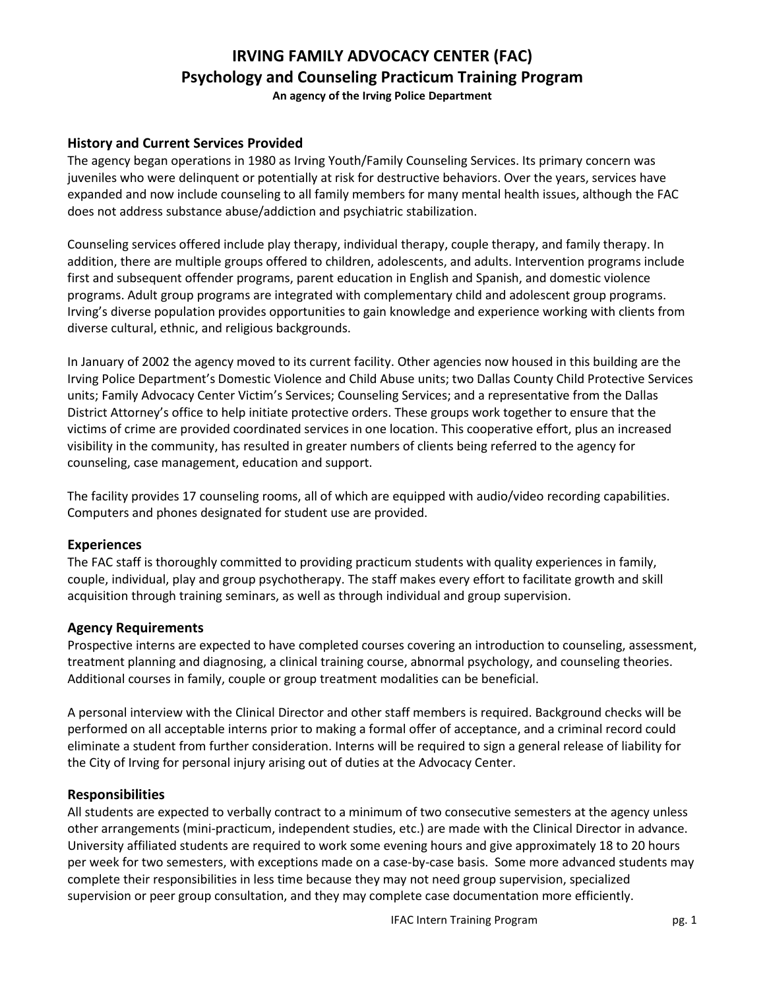# **IRVING FAMILY ADVOCACY CENTER (FAC) Psychology and Counseling Practicum Training Program**

**An agency of the Irving Police Department**

## **History and Current Services Provided**

The agency began operations in 1980 as Irving Youth/Family Counseling Services. Its primary concern was juveniles who were delinquent or potentially at risk for destructive behaviors. Over the years, services have expanded and now include counseling to all family members for many mental health issues, although the FAC does not address substance abuse/addiction and psychiatric stabilization.

Counseling services offered include play therapy, individual therapy, couple therapy, and family therapy. In addition, there are multiple groups offered to children, adolescents, and adults. Intervention programs include first and subsequent offender programs, parent education in English and Spanish, and domestic violence programs. Adult group programs are integrated with complementary child and adolescent group programs. Irving's diverse population provides opportunities to gain knowledge and experience working with clients from diverse cultural, ethnic, and religious backgrounds.

In January of 2002 the agency moved to its current facility. Other agencies now housed in this building are the Irving Police Department's Domestic Violence and Child Abuse units; two Dallas County Child Protective Services units; Family Advocacy Center Victim's Services; Counseling Services; and a representative from the Dallas District Attorney's office to help initiate protective orders. These groups work together to ensure that the victims of crime are provided coordinated services in one location. This cooperative effort, plus an increased visibility in the community, has resulted in greater numbers of clients being referred to the agency for counseling, case management, education and support.

The facility provides 17 counseling rooms, all of which are equipped with audio/video recording capabilities. Computers and phones designated for student use are provided.

#### **Experiences**

The FAC staff is thoroughly committed to providing practicum students with quality experiences in family, couple, individual, play and group psychotherapy. The staff makes every effort to facilitate growth and skill acquisition through training seminars, as well as through individual and group supervision.

#### **Agency Requirements**

Prospective interns are expected to have completed courses covering an introduction to counseling, assessment, treatment planning and diagnosing, a clinical training course, abnormal psychology, and counseling theories. Additional courses in family, couple or group treatment modalities can be beneficial.

A personal interview with the Clinical Director and other staff members is required. Background checks will be performed on all acceptable interns prior to making a formal offer of acceptance, and a criminal record could eliminate a student from further consideration. Interns will be required to sign a general release of liability for the City of Irving for personal injury arising out of duties at the Advocacy Center.

#### **Responsibilities**

All students are expected to verbally contract to a minimum of two consecutive semesters at the agency unless other arrangements (mini-practicum, independent studies, etc.) are made with the Clinical Director in advance. University affiliated students are required to work some evening hours and give approximately 18 to 20 hours per week for two semesters, with exceptions made on a case-by-case basis. Some more advanced students may complete their responsibilities in less time because they may not need group supervision, specialized supervision or peer group consultation, and they may complete case documentation more efficiently.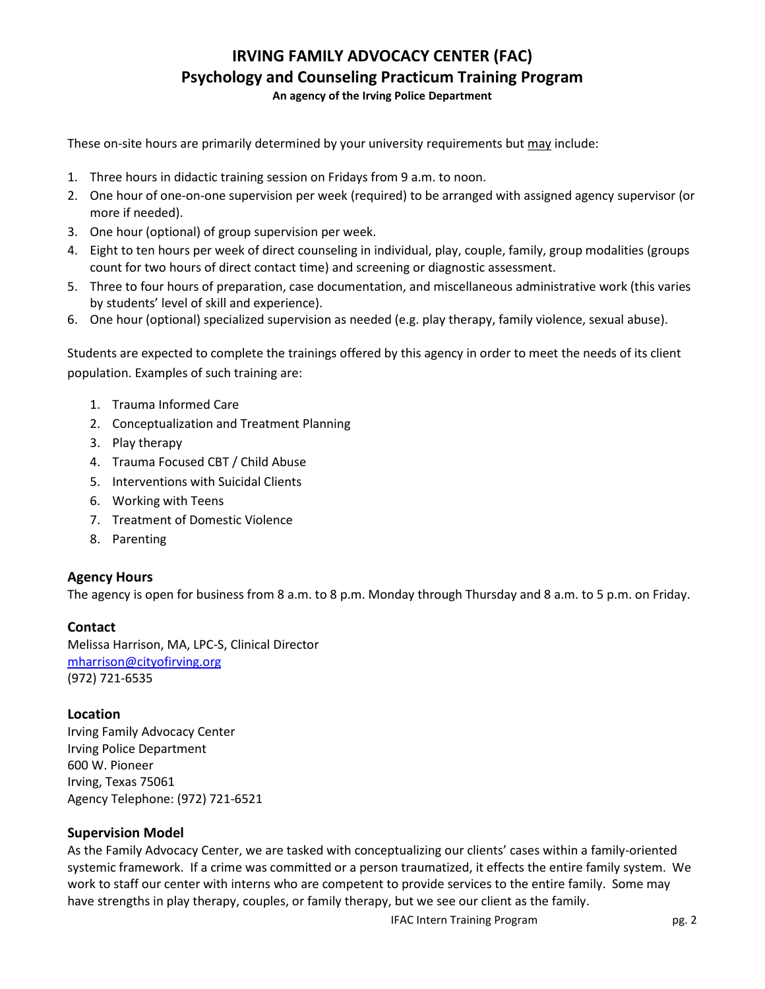## **IRVING FAMILY ADVOCACY CENTER (FAC) Psychology and Counseling Practicum Training Program**

**An agency of the Irving Police Department**

These on-site hours are primarily determined by your university requirements but may include:

- 1. Three hours in didactic training session on Fridays from 9 a.m. to noon.
- 2. One hour of one-on-one supervision per week (required) to be arranged with assigned agency supervisor (or more if needed).
- 3. One hour (optional) of group supervision per week.
- 4. Eight to ten hours per week of direct counseling in individual, play, couple, family, group modalities (groups count for two hours of direct contact time) and screening or diagnostic assessment.
- 5. Three to four hours of preparation, case documentation, and miscellaneous administrative work (this varies by students' level of skill and experience).
- 6. One hour (optional) specialized supervision as needed (e.g. play therapy, family violence, sexual abuse).

Students are expected to complete the trainings offered by this agency in order to meet the needs of its client population. Examples of such training are:

- 1. Trauma Informed Care
- 2. Conceptualization and Treatment Planning
- 3. Play therapy
- 4. Trauma Focused CBT / Child Abuse
- 5. Interventions with Suicidal Clients
- 6. Working with Teens
- 7. Treatment of Domestic Violence
- 8. Parenting

#### **Agency Hours**

The agency is open for business from 8 a.m. to 8 p.m. Monday through Thursday and 8 a.m. to 5 p.m. on Friday.

#### **Contact**

Melissa Harrison, MA, LPC-S, Clinical Director [mharrison@cityofirving.org](mailto:mharrison@cityofirving.org) (972) 721-6535

#### **Location**

Irving Family Advocacy Center Irving Police Department 600 W. Pioneer Irving, Texas 75061 Agency Telephone: (972) 721-6521

#### **Supervision Model**

As the Family Advocacy Center, we are tasked with conceptualizing our clients' cases within a family-oriented systemic framework. If a crime was committed or a person traumatized, it effects the entire family system. We work to staff our center with interns who are competent to provide services to the entire family. Some may have strengths in play therapy, couples, or family therapy, but we see our client as the family.